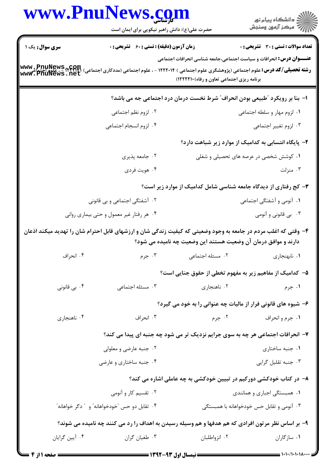|                                                                                                                                                                                                                                                                              | www.PnuNews.com<br>حضرت علی(ع): دانش راهبر نیکویی برای ایمان است                                               |                                                                | ڪ دانشڪاه پيام نور<br>/> مرڪز آزمون وسنڊش                                      |  |  |
|------------------------------------------------------------------------------------------------------------------------------------------------------------------------------------------------------------------------------------------------------------------------------|----------------------------------------------------------------------------------------------------------------|----------------------------------------------------------------|--------------------------------------------------------------------------------|--|--|
| سری سوال: یک ۱                                                                                                                                                                                                                                                               | <b>زمان آزمون (دقیقه) : تستی : 60 ٪ تشریحی : 0</b>                                                             |                                                                | <b>تعداد سوالات : تستی : 30 ٪ تشریحی : 0</b>                                   |  |  |
| <b>عنـــوان درس:</b> انحرافات و سیاست اجتماعی،جامعه شناسی انحرافات اجتماعی<br><b>رشته تحصیلی/کد درس:</b> علوم اجتماعی (پژوهشگری علوم اجتماعی ) ۱۲۲۲۰۱۴ - ، علوم اجتماعی (مددکاری اجتماعی) www . PnuNews<br>Www . PnuNews . net<br>برنامه ریزی اجتماعی تعاون و رفاه) ۱۲۲۲۲۱۰) |                                                                                                                |                                                                |                                                                                |  |  |
|                                                                                                                                                                                                                                                                              |                                                                                                                |                                                                | ا- بنا بر رویکرد "طبیعی بودن انحراف" شرط نخست درمان درد اجتماعی جه می باشد؟    |  |  |
|                                                                                                                                                                                                                                                                              | ۰۲ لزوم نظم اجتماعی                                                                                            |                                                                | ۰۱ لزوم مهار و سلطه اجتماعی                                                    |  |  |
|                                                                                                                                                                                                                                                                              | ۰۴ لزوم انسجام اجتماعي                                                                                         |                                                                | ۰۳ لزوم تغيير اجتماعي                                                          |  |  |
|                                                                                                                                                                                                                                                                              |                                                                                                                |                                                                | ۲- پایگاه انتسابی به کدامیک از موارد زیر شباهت دارد؟                           |  |  |
|                                                                                                                                                                                                                                                                              | ۰۲ جامعه پذیری                                                                                                 | ۰۱ کوشش شخصی در عرصه های تحصیلی و شغلی                         |                                                                                |  |  |
|                                                                                                                                                                                                                                                                              | ۰۴ هويت فردي                                                                                                   |                                                                | ۰۳ منزلت                                                                       |  |  |
|                                                                                                                                                                                                                                                                              |                                                                                                                |                                                                | ۳- کج رفتاری از دیدگاه جامعه شناسی شامل کدامیک از موارد زیر است؟               |  |  |
|                                                                                                                                                                                                                                                                              | ۲. آشفتگی اجتماعی و بی قانونی                                                                                  |                                                                | ۰۱ آنومی و آشفتگی اجتماعی                                                      |  |  |
|                                                                                                                                                                                                                                                                              | ۰۴ هر رفتار غیر معمول و حتی بیماری روانی                                                                       |                                                                | ۰۳ بی قانونی و آنومی                                                           |  |  |
|                                                                                                                                                                                                                                                                              | ۴- وقتی که اغلب مردم در جامعه به وجود وضعیتی که کیفیت زندگی شان و ارزشهای قابل احترام شان را تهدید میکند اذعان | دارند و موافق درمان آن وضعیت هستند این وضعیت چه نامیده می شود؟ |                                                                                |  |  |
| ۰۴ انحراف                                                                                                                                                                                                                                                                    | ۰۳ جرم                                                                                                         | ۲. مسئله اجتماعی                                               | ۰۱ نابهنجاری                                                                   |  |  |
|                                                                                                                                                                                                                                                                              |                                                                                                                |                                                                | ۵–  کدامیک از مفاهیم زیر به مفهوم تخطی از حقوق جنایی است؟                      |  |  |
| ۰۴ بی قانونی                                                                                                                                                                                                                                                                 | ۰۳ مسئله اجتماعی                                                                                               | ۰۲ ناهنجاری                                                    | ۰۱ جرم                                                                         |  |  |
|                                                                                                                                                                                                                                                                              |                                                                                                                |                                                                | ۶- شیوه های قانونی فرار از مالیات چه عنوانی را به خود می گیرد؟                 |  |  |
| ۰۴ ناهنجاري                                                                                                                                                                                                                                                                  | ۰۳ انحراف                                                                                                      | ۰۲ جرم                                                         | ۰۱ جرم و انحراف                                                                |  |  |
|                                                                                                                                                                                                                                                                              |                                                                                                                |                                                                | ۷- انحرافات اجتماعی هر چه به سوی جرایم نزدیک تر می شود چه جنبه ای پیدا می کند؟ |  |  |
|                                                                                                                                                                                                                                                                              | ۰۲ جنبه عارضي و معلولي                                                                                         |                                                                | ٠١. جنبه ساختارى                                                               |  |  |
|                                                                                                                                                                                                                                                                              | ۰۴ جنبه ساختاری و عارضی                                                                                        |                                                                | ۰۳ جنبه تقلیل گرایی                                                            |  |  |
|                                                                                                                                                                                                                                                                              |                                                                                                                |                                                                | ۸– در کتاب خودکشی دورکیم در تبیین خودکشی به چه عاملی اشاره می کند؟             |  |  |
|                                                                                                                                                                                                                                                                              | ۰۲ تقسیم کار و آنومی<br>۰۱ همبستگی اجباری و همانندی                                                            |                                                                |                                                                                |  |  |
| ۰۴ تقابل دو حس "خودخواهانه" و ″ دگر خواهانه″                                                                                                                                                                                                                                 |                                                                                                                | ۰۳ آنومی و تقابل حس خودخواهانه با همبستگی                      |                                                                                |  |  |
|                                                                                                                                                                                                                                                                              | ۹- بر اساس نظر مرتون افرادی که هم هدفها و هم وسیله رسیدن به اهداف را رد می کنند چه نامیده می شوند؟             |                                                                |                                                                                |  |  |
| ۰۴ آيين گرايان                                                                                                                                                                                                                                                               | ۰۳ طغیان گران                                                                                                  | ۰۲ انزواطلبان                                                  | ۰۱ سازگاران                                                                    |  |  |
|                                                                                                                                                                                                                                                                              |                                                                                                                |                                                                |                                                                                |  |  |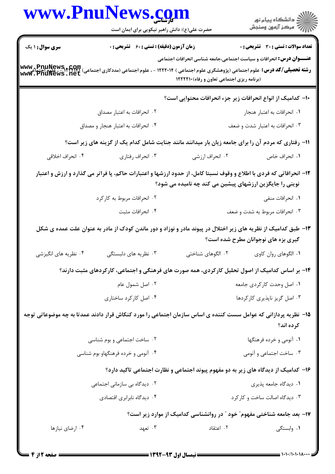|                                                                                                                                                                                | حضرت علی(ع): دانش راهبر نیکویی برای ایمان است                                                                                                                                                                                               |                                                                                                                          | ر<br>دانشڪاه پيام نور)<br>ا∛ مرڪز آزمون وسنڊش |  |  |
|--------------------------------------------------------------------------------------------------------------------------------------------------------------------------------|---------------------------------------------------------------------------------------------------------------------------------------------------------------------------------------------------------------------------------------------|--------------------------------------------------------------------------------------------------------------------------|-----------------------------------------------|--|--|
| <b>سری سوال : ۱ ی</b> ک                                                                                                                                                        | زمان آزمون (دقیقه) : تستی : 60 ٪ تشریحی : 0                                                                                                                                                                                                 |                                                                                                                          | <b>تعداد سوالات : تستی : 30 ٪ تشریحی : 0</b>  |  |  |
|                                                                                                                                                                                | <b>رشته تحصیلی/کد درس:</b> علوم اجتماعی (پژوهشگری علوم اجتماعی ) ۱۲۲۲۰۱۴ - ، علوم اجتماعی (مددکاری اجتماعی) www . PnuNews<br>و <b>شته تحصیلی/کد درس:</b> علوم اجتماعی (پژوهشگری علوم اجتماعی ) ۱۲۲۲۰۱۴ - ، علوم اجتماعی (مددکاری اجتماعی) w | <b>عنـــوان درس:</b> انحرافات و سیاست اجتماعی،جامعه شناسی انحرافات اجتماعی<br>(برنامه ریزی اجتماعی تعاون و رفاه) ١٢٢٢٢١٠ |                                               |  |  |
|                                                                                                                                                                                |                                                                                                                                                                                                                                             | -۱- كداميك از انواع انحرافات زير جزء انحرافات محتوايي است؟                                                               |                                               |  |  |
|                                                                                                                                                                                | ۰۲ انحرافات به اعتبار مصداق                                                                                                                                                                                                                 |                                                                                                                          | ٠١ انحرافات به اعتبار هنجار                   |  |  |
|                                                                                                                                                                                | ۰۴ انحرافات به اعتبار هنجار و مصداق                                                                                                                                                                                                         |                                                                                                                          | ۰۳ انحرافات به اعتبار شدت و ضعف               |  |  |
|                                                                                                                                                                                | 11- رفتاری که مردم آن را برای جامعه زیان بار میدانند مانند جنایت شامل کدام یک از گزینه های زیر است؟                                                                                                                                         |                                                                                                                          |                                               |  |  |
| ۰۴ انحراف اخلاقی                                                                                                                                                               | ۰۳ انحراف رفتاري                                                                                                                                                                                                                            | ۰۲ انحراف ارزشي                                                                                                          | ٠١. انحراف خاص                                |  |  |
| ۱۲- انحرافاتی که فردی با اطلاع و وقوف نسبتا کامل، از حدود ارزشها و اعتبارات حاکم، پا فراتر می گذارد و ارزش و اعتبار<br>نوینی را جایگزین ارزشهای پیشین می کند چه نامیده می شود؟ |                                                                                                                                                                                                                                             |                                                                                                                          |                                               |  |  |
|                                                                                                                                                                                | ۲. انحرافات مربوط به کارکرد                                                                                                                                                                                                                 |                                                                                                                          | ۰۱ انحرافات منفی                              |  |  |
|                                                                                                                                                                                | ۰۴ انحرافات مثبت                                                                                                                                                                                                                            |                                                                                                                          | ۰۳ انحرافات مربوط به شدت و ضعف                |  |  |
|                                                                                                                                                                                | ۱۳– طبق کدامیک از نظریه های زیر اختلال در پیوند مادر و نوزاد و دور ماندن کودک از مادر به عنوان علت عمده ی شکل                                                                                                                               |                                                                                                                          | گیری بزه های نوجوانان مطرح شده است؟           |  |  |
| ۰۴ نظریه های انگیزشی                                                                                                                                                           | ۰۳ نظریه های دلبستگی                                                                                                                                                                                                                        | ۰۲ الگوهای شناختی                                                                                                        | ۰۱ الگوهای روان کاوی                          |  |  |
|                                                                                                                                                                                | ۱۴– بر اساس کدامیک از اصول تحلیل کارکردی، همه صورت های فرهنگی و اجتماعی، کارکردهای مثبت دارند؟                                                                                                                                              |                                                                                                                          |                                               |  |  |
|                                                                                                                                                                                | ۰۲ اصل شمول عام                                                                                                                                                                                                                             | ۰۱ اصل وحدت کارکردی جامعه                                                                                                |                                               |  |  |
|                                                                                                                                                                                | ۰۴ اصل کارکرد ساختاری                                                                                                                                                                                                                       |                                                                                                                          | ۰۳ اصل گریز ناپذیری کارکردها                  |  |  |
|                                                                                                                                                                                | ۱۵– نظریه پردازانی که عوامل سست کننده ی اساس سازمان اجتماعی را مورد کنکاش قرار دادند عمدتا به چه موضوعاتی توجه                                                                                                                              |                                                                                                                          | کرده اند؟                                     |  |  |
|                                                                                                                                                                                | ۰۲ ساخت اجتماعی و بوم شناسی                                                                                                                                                                                                                 |                                                                                                                          | ۰۱ آنومی و خرده فرهنگها                       |  |  |
|                                                                                                                                                                                | ۰۴ آنومی و خرده فرهنگهاو بوم شناسی                                                                                                                                                                                                          |                                                                                                                          | ۰۳ ساخت اجتماعی و آنومی                       |  |  |
|                                                                                                                                                                                |                                                                                                                                                                                                                                             | ۱۶– کدامیک از دیدگاه های زیر به دو مفهوم پیوند اجتماعی و نظارت اجتماعی تاکید دارد؟                                       |                                               |  |  |
| ۰۲ دیدگاه بی سازمانی اجتماعی                                                                                                                                                   |                                                                                                                                                                                                                                             |                                                                                                                          | ۰۱ دیدگاه جامعه پذیری                         |  |  |
|                                                                                                                                                                                | ۰۴ دیدگاه نابرابری اقتصادی<br>۰۳ دیدگاه اصالت ساخت و کارکرد                                                                                                                                                                                 |                                                                                                                          |                                               |  |  |
|                                                                                                                                                                                |                                                                                                                                                                                                                                             | ۱۷– بعد جامعه شناختی مفهوم ؒ خود ؒ در روانشناسی کدامیک از موارد زیر است؟                                                 |                                               |  |  |
| ۰۴ ارضای نیازها                                                                                                                                                                | ۰۳ تعهد                                                                                                                                                                                                                                     | ۰۲ اعتقاد                                                                                                                | ۰۱ وابستگی                                    |  |  |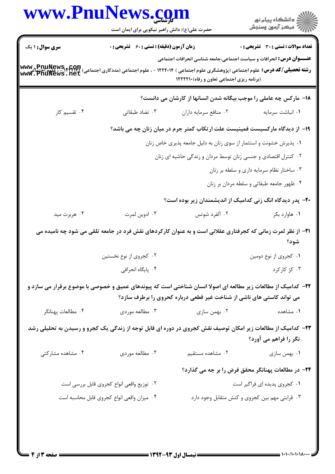|                        | www.PnuNews.com<br>حضرت علی(ع): دانش راهبر نیکویی برای ایمان است |                                                                                                                                                                                                                                                                                                                 | ر<br>دانشڪاه پيام نور)<br>اڳ مرڪز آزمون وسنڊش  |
|------------------------|------------------------------------------------------------------|-----------------------------------------------------------------------------------------------------------------------------------------------------------------------------------------------------------------------------------------------------------------------------------------------------------------|------------------------------------------------|
| <b>سری سوال :</b> ۱ یک | زمان آزمون (دقیقه) : تستی : 60 ٪ تشریحی : 0                      |                                                                                                                                                                                                                                                                                                                 | <b>تعداد سوالات : تستی : 30 ٪ تشریحی : 0</b>   |
|                        |                                                                  | <b>عنـــوان درس:</b> انحرافات و سیاست اجتماعی،جامعه شناسی انحرافات اجتماعی<br><b>/www , PnuNews , COM</b><br>1 ( <b>شته تحصیلی/کد درس:</b> علوم اجتماعی (پژوهشگری علوم اجتماعی ) ۱۲۲۲۰۱۴ - ، علوم اجتماعی (مددکاری اجتماعی) ۱۳۲۲۴۲<br>  wwt: PnuNews <b>.</b> net<br>(برنامه ریزی اجتماعی تعاون و رفاه) ۱۲۲۲۲۱۰ |                                                |
|                        |                                                                  | ۱۸– مارکس چه عاملی را موجب بیگانه شدن انسانها از کارشان می دانست؟                                                                                                                                                                                                                                               |                                                |
| ۰۴ تقسیم کار           | ۰۳ تضاد طبقاتی                                                   | ۰۲ منافع سرمايه داران                                                                                                                                                                                                                                                                                           | ٠١ انباشت سرمايه                               |
|                        |                                                                  | ۱۹- از دیدگاه مارکسیست فمینیست علت ارتکاب کمتر جرم در میان زنان چه می باشد؟                                                                                                                                                                                                                                     |                                                |
|                        |                                                                  | ۰۱ پذیرش خشونت و استثمار از سوی زنان به دلیل جامعه پذیری خاص زنان                                                                                                                                                                                                                                               |                                                |
|                        |                                                                  | ۰۲ کنترل اقتصادی و جنسی زنان توسط مردان و زندگی حاشیه ای زنان                                                                                                                                                                                                                                                   |                                                |
|                        |                                                                  |                                                                                                                                                                                                                                                                                                                 | ۰۳ ساختار نظام سرمایه داری و سلطه بر زنان      |
|                        |                                                                  |                                                                                                                                                                                                                                                                                                                 | ۰۴ ظهور جامعه طبقاتي و سلطه مردان بر زنان      |
|                        |                                                                  | <b>۰۲</b> - پدر دیدگاه انگ زنی کدامیک از اندیشمندان زیر بوده است؟                                                                                                                                                                                                                                               |                                                |
| ۰۴ هربرت مید           | ۰۳ ادوین لمرت                                                    | ۰۲ آلفرد شوتس                                                                                                                                                                                                                                                                                                   | ۰۱ هاوارد بکر                                  |
|                        |                                                                  | <b>ا۲</b> – از نظر لمرت زمانی که کجرفتاری عقلانی است و به عنوان کارکردهای نقش فرد در جامعه تلقی می شود چه نامیده می                                                                                                                                                                                             | شود؟                                           |
|                        | ۰۲ کجروی از نوع نخستین                                           |                                                                                                                                                                                                                                                                                                                 | ۰۱ کجروی از نوع دومین                          |
|                        | ۰۴ پایگاه انحرافی                                                |                                                                                                                                                                                                                                                                                                                 | ۰۳ کژ کارکرد                                   |
|                        |                                                                  | ۲۲– کدامیک از مطالعات زیر مطالعه ای اصولا انسان شناختی است که پیوندهای عمیق و خصوصی با موضوع برقرار می سازد و<br>می تواند کاستی های ناشی از شناخت غیر قطعی درباره کحروی را برطرف سازد؟                                                                                                                          |                                                |
| ۰۴ مطالعات پهنانگر     | ۰۳ مطالعه موردي                                                  | ۰۲ بهمن سازی                                                                                                                                                                                                                                                                                                    | ۰۱ مشاهده                                      |
|                        |                                                                  | ۲۳- کدامیک از مطالعات زیر امکان توصیف نقش کجروی در دوره ای قابل توجه از زندگی یک کجرو و رسیدن به تحلیلی رشد                                                                                                                                                                                                     | نگر را فراهم می آورد؟                          |
| ۰۴ مشاهده مشارکتی      | ۰۳ مطالعه موردي                                                  | ٠٢ مشاهده مستقيم                                                                                                                                                                                                                                                                                                | ۰۱ بهمن سازی                                   |
|                        |                                                                  | ۲۴- در مطالعات پهنانگر محقق فرض را بر جه می گذارد؟                                                                                                                                                                                                                                                              |                                                |
|                        | ۰۲ توزیع واقعی انواع کجروی قابل بررسی است                        |                                                                                                                                                                                                                                                                                                                 | ۰۱ کجروی پدیده ای فراگیر است                   |
|                        | ۰۴ میزان واقعی انواع کجروی قابل محاسبه است                       |                                                                                                                                                                                                                                                                                                                 | ۰۳ قرابتی مهم بین کجروی و کنش متقابل وجود دارد |